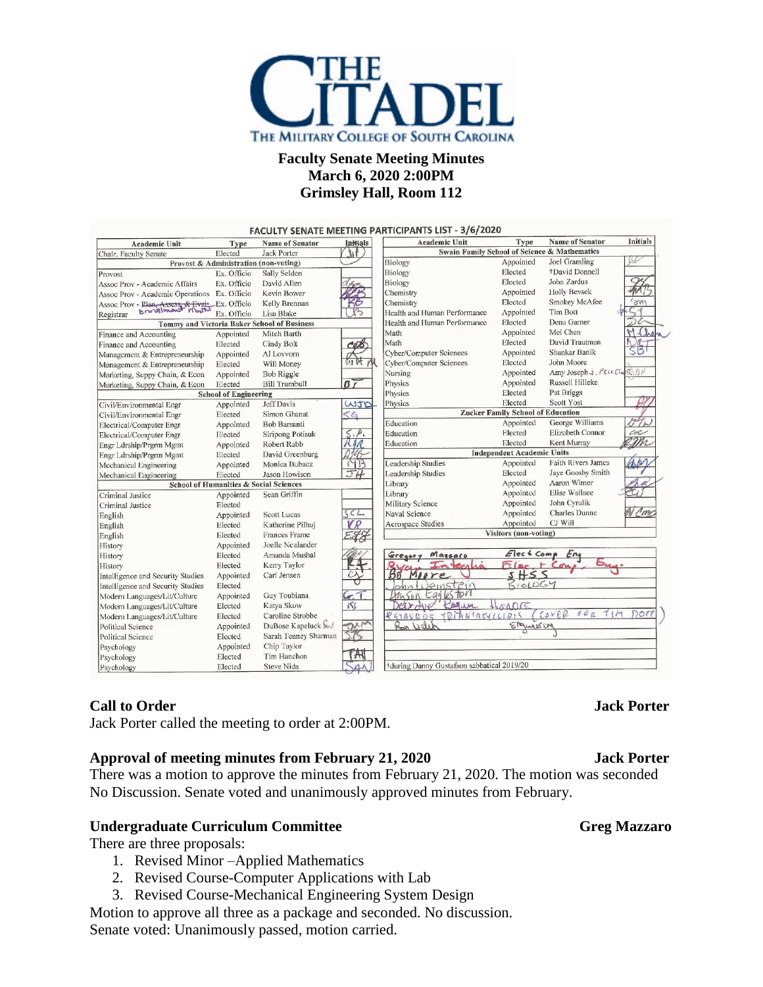

# **Faculty Senate Meeting Minutes March 6, 2020 2:00PM Grimsley Hall, Room 112**

|                                                    |                              |                                       |                               | <b>FACULTY SENATE MEETING PARTICIPANTS LIST - 3/6/2020</b> |                                          |                           |                 |
|----------------------------------------------------|------------------------------|---------------------------------------|-------------------------------|------------------------------------------------------------|------------------------------------------|---------------------------|-----------------|
| Academic Unit                                      | Type                         | <b>Name of Senator</b>                | <b>Initials</b><br>hf         | <b>Academic Unit</b>                                       | Type                                     | <b>Name of Senator</b>    | <b>Initials</b> |
| Chair, Faculty Senate                              | Elected<br>Jack Porter       |                                       |                               | <b>Swain Family School of Science &amp; Mathematics</b>    |                                          |                           |                 |
|                                                    |                              | Provost & Administration (non-voting) |                               | Biology                                                    | Appointed                                | Joel Gramling             | Vil             |
| Provost                                            | Ex. Officio                  | Sally Selden                          |                               | Biology                                                    | Elected                                  | +David Donnell            |                 |
| Assoc Prov - Academic Affairs                      | Ex. Officio                  | David Allen                           |                               | Biology                                                    | Elected                                  | John Zardus               | O               |
| Assoc Prov - Academic Operations Ex. Officio       |                              | Kevin Bower                           |                               | Chemistry                                                  | Appointed                                | <b>Holly Beysek</b>       |                 |
| Assoc Prov - Plan, Assess, & Evat Ex. Officio      |                              | Kelly Brennan                         | 50                            | Chemistry                                                  | Elected                                  | Smokey McAfee             | <b>SUL</b>      |
| Registrar                                          | Ex. Officio                  | Lisa Blake                            | ſ3                            | Health and Human Performance                               | Appointed                                | <b>Tim Bott</b>           |                 |
| <b>Tommy and Victoria Baker School of Business</b> |                              |                                       |                               | Health and Human Performance                               | Elected                                  | Dena Garner               |                 |
| Finance and Accounting                             | Appointed                    | Mitch Barth                           |                               | Math                                                       | Appointed                                | Mei Chen                  |                 |
| Finance and Accounting                             | Elected                      | Cindy Bolt                            |                               | Math                                                       | Elected                                  | David Trautman            |                 |
| Management & Entrepreneurship                      | Appointed                    | Al Lovvorn                            |                               | <b>Cyber/Computer Sciences</b>                             | Appointed                                | Shankar Banik             | 55              |
| Management & Entrepreneurship                      | Elected                      | Will Money                            |                               | <b>Cyber/Computer Sciences</b>                             | Elected                                  | John Moore                |                 |
| Marketing, Suppy Chain, & Econ                     | Appointed                    | <b>Bob Riggle</b>                     |                               | Nursing                                                    | Appointed                                | Amy Joseph J. PELL CHR DP |                 |
| Marketing, Suppy Chain, & Econ                     | Elected                      | <b>Bill Trumbull</b>                  | ßr                            | Physics                                                    | Appointed                                | Russell Hilleke           |                 |
|                                                    | <b>School of Engineering</b> |                                       |                               | Physics                                                    | Elected                                  | Pat Briggs                |                 |
| Civil/Environmental Engr                           | Appointed                    | Jeff Davis                            | WID                           | Physics                                                    | Elected                                  | Scott Yost                |                 |
| Civil/Environmental Engr                           | Elected                      | Simon Ghanat                          | $<$ G                         |                                                            | <b>Zucker Family School of Education</b> |                           |                 |
| Electrical/Computer Engr                           | Appointed                    | <b>Bob Barsanti</b>                   |                               | Education                                                  | Appointed                                | George Williams           |                 |
| Electrical/Computer Engr                           | Elected                      | Siripong Potisuk                      | $\leq$ . $P$ .                | Education                                                  | Elected                                  | Elizabeth Connor          | col             |
| Engr Ldrship/Prgrm Mgmt                            | Appointed                    | Robert Rabb                           | $\mathcal{M}$                 | Education                                                  | Elected                                  | Kent Murray               |                 |
| Engr Ldrship/Prgrm Mgmt                            | Elected                      | David Greenburg                       |                               | <b>Independent Academic Units</b>                          |                                          |                           |                 |
| Mechanical Engineering                             | Appointed                    | Monica Bubacz                         | MB                            | Leadership Studies                                         | Appointed                                | <b>Faith Rivers James</b> |                 |
| Mechanical Engineering                             | Elected                      | Jason Howison                         | JH                            | Leadership Studies                                         | Elected                                  | Jaye Goosby Smith         |                 |
| School of Humanities & Social Sciences             |                              |                                       |                               | Library                                                    | Appointed                                | Aaron Wimer               |                 |
| Criminal Justice                                   | Appointed                    | Sean Griffin                          |                               | Library                                                    | Appointed                                | Elise Wallace             |                 |
| Criminal Justice                                   | Elected                      |                                       |                               | Military Science                                           | Appointed                                | John Cyrulik              |                 |
| English                                            | Appointed                    | Scott Lucas                           | SCL                           | Naval Science                                              | Appointed                                | Charles Dunne             | <u>P</u> m      |
| English                                            | Elected                      | Katherine Pilhuj                      | VP                            | Aerospace Studies                                          | Appointed                                | CJ Will                   |                 |
| English                                            | Elected                      | Frances Frame                         |                               |                                                            | Visitors (non-voting)                    |                           |                 |
| History                                            | Appointed                    | Joelle Neulander                      |                               |                                                            |                                          |                           |                 |
| History                                            | Elected                      | Amanda Mushal                         |                               | Gregor<br>Massaro                                          | Elec 6 Comp                              | Eng                       |                 |
| History                                            | Elected                      | Kerry Taylor                          |                               |                                                            |                                          |                           |                 |
| Intelligence and Security Studies                  | Appointed                    | Carl Jensen                           | $\frac{\partial}{\partial t}$ | More                                                       | 5H55                                     |                           |                 |
| Intelligence and Security Studies                  | Elected                      |                                       |                               | Jemstein                                                   | BIOLOGY                                  |                           |                 |
| Modern Languages/Lit/Culture                       | Appointed                    | Guy Toubiana                          |                               | My SON Eagleston                                           |                                          |                           |                 |
| Modern Languages/Lit/Culture                       | Elected                      | Katva Skow                            | $\frac{6.7}{155}$             | Regan<br>Var-Me                                            | 20000                                    |                           |                 |
| Modern Languages/Lit/Culture                       | Elected                      | Caroline Strobbe                      |                               | TDIANIACYLLIDIS<br>841AVDOS                                |                                          | 7111<br>$C_2V6R$<br>$*0R$ | P1017           |
| <b>Political Science</b>                           | Appointed                    | DuBose Kapeluck                       | $\frac{7}{26}$                | Ron Well                                                   | ERgineercre                              |                           |                 |
| <b>Political Science</b>                           | Elected                      | Sarah Tenney Sharman                  |                               |                                                            |                                          |                           |                 |
| Psychology                                         | Appointed                    | Chip Taylor                           |                               |                                                            |                                          |                           |                 |
| Psychology                                         | Elected                      | Tim Hanchon                           | 7H                            |                                                            |                                          |                           |                 |
| Psychology                                         | Elected                      | <b>Steve Nida</b>                     |                               | +during Danny Gustafson sabbatical 2019/20                 |                                          |                           |                 |

# **Call to Order Jack Porter**

Jack Porter called the meeting to order at 2:00PM.

## **Approval of meeting minutes from February 21, 2020 Jack Porter**

There was a motion to approve the minutes from February 21, 2020. The motion was seconded No Discussion. Senate voted and unanimously approved minutes from February.

## **Undergraduate Curriculum Committee Gregier Greg Mazzaro**

There are three proposals:

- 1. Revised Minor –Applied Mathematics
- 2. Revised Course-Computer Applications with Lab
- 3. Revised Course-Mechanical Engineering System Design

Motion to approve all three as a package and seconded. No discussion. Senate voted: Unanimously passed, motion carried.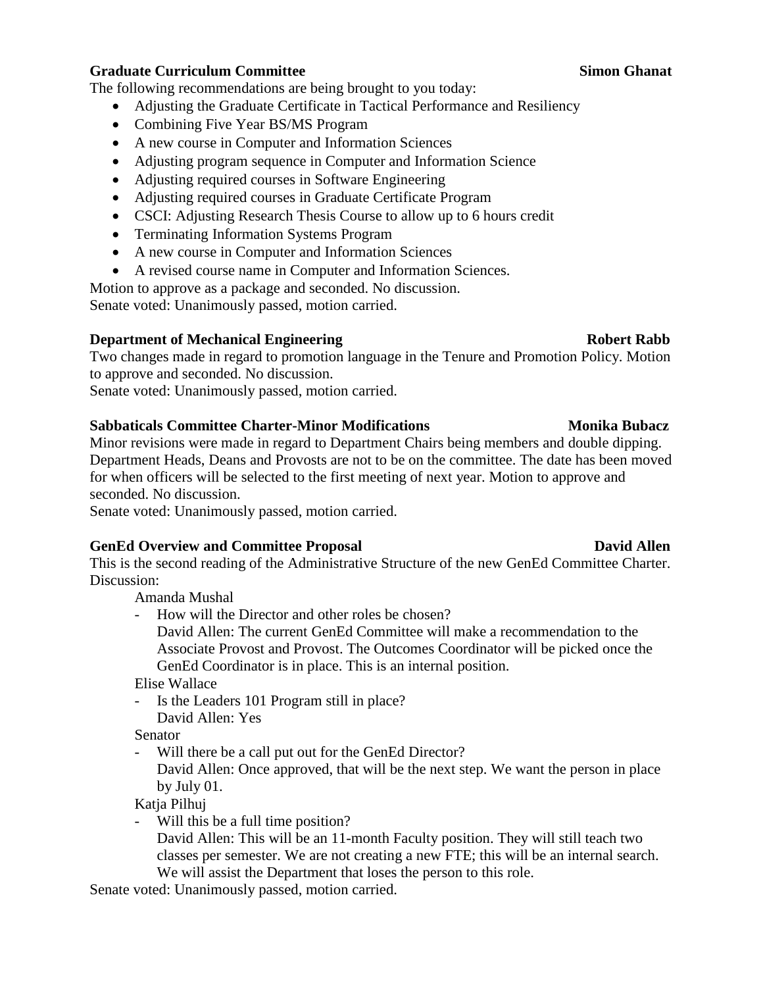## **Graduate Curriculum Committee Simon Ghanat**

The following recommendations are being brought to you today:

- Adjusting the Graduate Certificate in Tactical Performance and Resiliency
- Combining Five Year BS/MS Program
- A new course in Computer and Information Sciences
- Adjusting program sequence in Computer and Information Science
- Adjusting required courses in Software Engineering
- Adjusting required courses in Graduate Certificate Program
- CSCI: Adjusting Research Thesis Course to allow up to 6 hours credit
- Terminating Information Systems Program
- A new course in Computer and Information Sciences
- A revised course name in Computer and Information Sciences.

Motion to approve as a package and seconded. No discussion.

Senate voted: Unanimously passed, motion carried.

### **Department of Mechanical Engineering Robert Rabb**

Two changes made in regard to promotion language in the Tenure and Promotion Policy. Motion to approve and seconded. No discussion.

Senate voted: Unanimously passed, motion carried.

### **Sabbaticals Committee Charter-Minor Modifications Monika Bubacz**

Minor revisions were made in regard to Department Chairs being members and double dipping. Department Heads, Deans and Provosts are not to be on the committee. The date has been moved for when officers will be selected to the first meeting of next year. Motion to approve and seconded. No discussion.

Senate voted: Unanimously passed, motion carried.

## **GenEd Overview and Committee Proposal David Allen**

This is the second reading of the Administrative Structure of the new GenEd Committee Charter. Discussion:

Amanda Mushal

- How will the Director and other roles be chosen?
	- David Allen: The current GenEd Committee will make a recommendation to the Associate Provost and Provost. The Outcomes Coordinator will be picked once the GenEd Coordinator is in place. This is an internal position.

Elise Wallace

- Is the Leaders 101 Program still in place? David Allen: Yes

Senator

- Will there be a call put out for the GenEd Director?

David Allen: Once approved, that will be the next step. We want the person in place by July 01.

Katja Pilhuj

- Will this be a full time position?
	- David Allen: This will be an 11-month Faculty position. They will still teach two classes per semester. We are not creating a new FTE; this will be an internal search. We will assist the Department that loses the person to this role.

Senate voted: Unanimously passed, motion carried.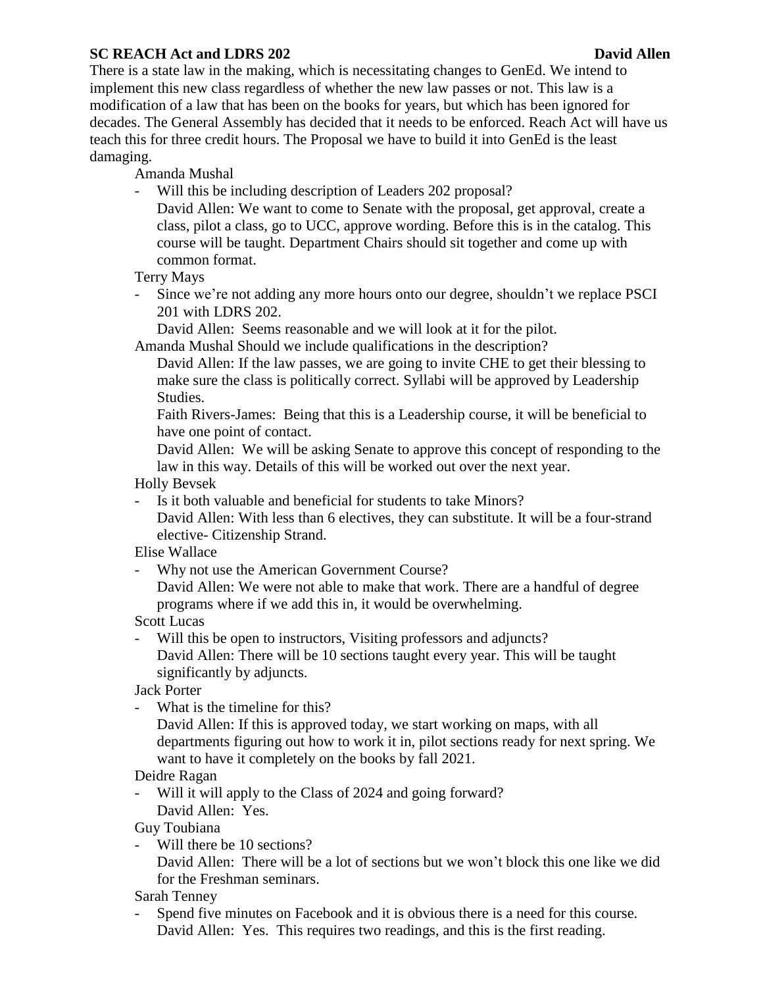## **SC REACH Act and LDRS 202 David Allen**

There is a state law in the making, which is necessitating changes to GenEd. We intend to implement this new class regardless of whether the new law passes or not. This law is a modification of a law that has been on the books for years, but which has been ignored for decades. The General Assembly has decided that it needs to be enforced. Reach Act will have us teach this for three credit hours. The Proposal we have to build it into GenEd is the least damaging.

Amanda Mushal

- Will this be including description of Leaders 202 proposal?
	- David Allen: We want to come to Senate with the proposal, get approval, create a class, pilot a class, go to UCC, approve wording. Before this is in the catalog. This course will be taught. Department Chairs should sit together and come up with common format.

Terry Mays

- Since we're not adding any more hours onto our degree, shouldn't we replace PSCI 201 with LDRS 202.

David Allen: Seems reasonable and we will look at it for the pilot.

Amanda Mushal Should we include qualifications in the description?

David Allen: If the law passes, we are going to invite CHE to get their blessing to make sure the class is politically correct. Syllabi will be approved by Leadership Studies.

Faith Rivers-James: Being that this is a Leadership course, it will be beneficial to have one point of contact.

David Allen: We will be asking Senate to approve this concept of responding to the law in this way. Details of this will be worked out over the next year.

Holly Bevsek

- Is it both valuable and beneficial for students to take Minors? David Allen: With less than 6 electives, they can substitute. It will be a four-strand elective- Citizenship Strand.

Elise Wallace

- Why not use the American Government Course?

David Allen: We were not able to make that work. There are a handful of degree programs where if we add this in, it would be overwhelming.

Scott Lucas

- Will this be open to instructors, Visiting professors and adjuncts? David Allen: There will be 10 sections taught every year. This will be taught significantly by adjuncts.

Jack Porter

- What is the timeline for this?

David Allen: If this is approved today, we start working on maps, with all departments figuring out how to work it in, pilot sections ready for next spring. We want to have it completely on the books by fall 2021.

Deidre Ragan

- Will it will apply to the Class of 2024 and going forward? David Allen: Yes.

Guy Toubiana

- Will there be 10 sections?

David Allen: There will be a lot of sections but we won't block this one like we did for the Freshman seminars.

Sarah Tenney

- Spend five minutes on Facebook and it is obvious there is a need for this course. David Allen: Yes. This requires two readings, and this is the first reading.